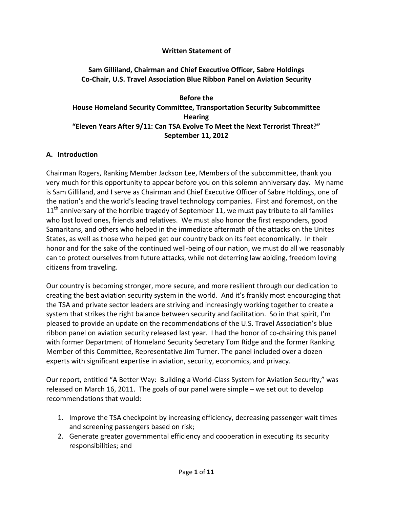#### **Written Statement of**

### **Sam Gilliland, Chairman and Chief Executive Officer, Sabre Holdings Co-Chair, U.S. Travel Association Blue Ribbon Panel on Aviation Security**

#### **Before the House Homeland Security Committee, Transportation Security Subcommittee Hearing "Eleven Years After 9/11: Can TSA Evolve To Meet the Next Terrorist Threat?" September 11, 2012**

#### **A. Introduction**

Chairman Rogers, Ranking Member Jackson Lee, Members of the subcommittee, thank you very much for this opportunity to appear before you on this solemn anniversary day. My name is Sam Gilliland, and I serve as Chairman and Chief Executive Officer of Sabre Holdings, one of the nation's and the world's leading travel technology companies. First and foremost, on the  $11<sup>th</sup>$  anniversary of the horrible tragedy of September 11, we must pay tribute to all families who lost loved ones, friends and relatives. We must also honor the first responders, good Samaritans, and others who helped in the immediate aftermath of the attacks on the Unites States, as well as those who helped get our country back on its feet economically. In their honor and for the sake of the continued well-being of our nation, we must do all we reasonably can to protect ourselves from future attacks, while not deterring law abiding, freedom loving citizens from traveling.

Our country is becoming stronger, more secure, and more resilient through our dedication to creating the best aviation security system in the world. And it's frankly most encouraging that the TSA and private sector leaders are striving and increasingly working together to create a system that strikes the right balance between security and facilitation. So in that spirit, I'm pleased to provide an update on the recommendations of the U.S. Travel Association's blue ribbon panel on aviation security released last year. I had the honor of co-chairing this panel with former Department of Homeland Security Secretary Tom Ridge and the former Ranking Member of this Committee, Representative Jim Turner. The panel included over a dozen experts with significant expertise in aviation, security, economics, and privacy.

Our report, entitled "A Better Way: Building a World-Class System for Aviation Security," was released on March 16, 2011. The goals of our panel were simple – we set out to develop recommendations that would:

- 1. Improve the TSA checkpoint by increasing efficiency, decreasing passenger wait times and screening passengers based on risk;
- 2. Generate greater governmental efficiency and cooperation in executing its security responsibilities; and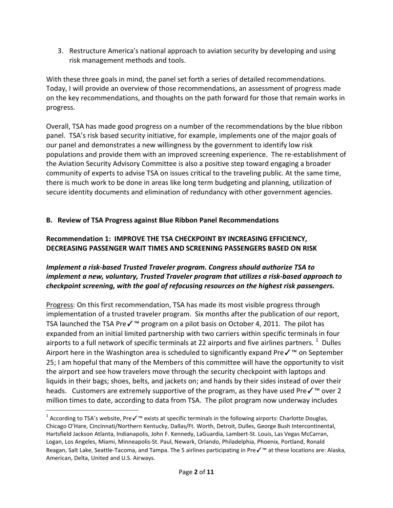3. Restructure America's national approach to aviation security by developing and using risk management methods and tools.

With these three goals in mind, the panel set forth a series of detailed recommendations. Today, I will provide an overview of those recommendations, an assessment of progress made on the key recommendations, and thoughts on the path forward for those that remain works in progress.

Overall, TSA has made good progress on a number of the recommendations by the blue ribbon panel. TSA's risk based security initiative, for example, implements one of the major goals of our panel and demonstrates a new willingness by the government to identify low risk populations and provide them with an improved screening experience. The re-establishment of the Aviation Security Advisory Committee is also a positive step toward engaging a broader community of experts to advise TSA on issues critical to the traveling public. At the same time, there is much work to be done in areas like long term budgeting and planning, utilization of secure identity documents and elimination of redundancy with other government agencies.

## **B. Review of TSA Progress against Blue Ribbon Panel Recommendations**

### **Recommendation 1: IMPROVE THE TSA CHECKPOINT BY INCREASING EFFICIENCY, DECREASING PASSENGER WAIT TIMES AND SCREENING PASSENGERS BASED ON RISK**

## *Implement a risk-based Trusted Traveler program. Congress should authorize TSA to implement a new, voluntary, Trusted Traveler program that utilizes a risk-based approach to checkpoint screening, with the goal of refocusing resources on the highest risk passengers.*

Progress: On this first recommendation, TSA has made its most visible progress through implementation of a trusted traveler program. Six months after the publication of our report, TSA launched the TSA Pre✓™ program on a pilot basis on October 4, 2011. The pilot has expanded from an initial limited partnership with two carriers within specific terminals in four airports to a full network of specific terminals at 22 airports and five airlines partners.  $^{1}$  $^{1}$  $^{1}$  Dulles Airport here in the Washington area is scheduled to significantly expand Preê on September 25; I am hopeful that many of the Members of this committee will have the opportunity to visit the airport and see how travelers move through the security checkpoint with laptops and liquids in their bags; shoes, belts, and jackets on; and hands by their sides instead of over their heads. Customers are extremely supportive of the program, as they have used Preê over 2 million times to date, according to data from TSA. The pilot program now underway includes

<span id="page-1-0"></span><sup>&</sup>lt;sup>1</sup> According to TSA's website, Preê exists at specific terminals in the following airports: Charlotte Douglas, Chicago O'Hare, Cincinnati/Northern Kentucky, Dallas/Ft. Worth, Detroit, Dulles, George Bush Intercontinental, Hartsfield Jackson Atlanta, Indianapolis, John F. Kennedy, LaGuardia, Lambert-St. Louis, Las Vegas McCarran, Logan, Los Angeles, Miami, Minneapolis-St. Paul, Newark, Orlando, Philadelphia, Phoenix, Portland, Ronald Reagan, Salt Lake, Seattle-Tacoma, and Tampa. The 5 airlines participating in Pre✓™ at these locations are: Alaska, American, Delta, United and U.S. Airways.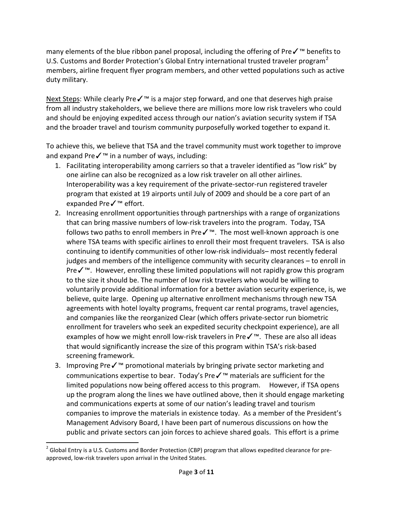many elements of the blue ribbon panel proposal, including the offering of Preê benefits to U.S. Customs and Border Protection's Global Entry international trusted traveler program<sup>[2](#page-2-0)</sup> members, airline frequent flyer program members, and other vetted populations such as active duty military.

Next Steps: While clearly Preê is a major step forward, and one that deserves high praise from all industry stakeholders, we believe there are millions more low risk travelers who could and should be enjoying expedited access through our nation's aviation security system if TSA and the broader travel and tourism community purposefully worked together to expand it.

To achieve this, we believe that TSA and the travel community must work together to improve and expand Preê in a number of ways, including:

- 1. Facilitating interoperability among carriers so that a traveler identified as "low risk" by one airline can also be recognized as a low risk traveler on all other airlines. Interoperability was a key requirement of the private-sector-run registered traveler program that existed at 19 airports until July of 2009 and should be a core part of an expanded Preê effort.
- 2. Increasing enrollment opportunities through partnerships with a range of organizations that can bring massive numbers of low-risk travelers into the program. Today, TSA follows two paths to enroll members in Pre✓™. The most well-known approach is one where TSA teams with specific airlines to enroll their most frequent travelers. TSA is also continuing to identify communities of other low-risk individuals– most recently federal judges and members of the intelligence community with security clearances – to enroll in Preê. However, enrolling these limited populations will not rapidly grow this program to the size it should be. The number of low risk travelers who would be willing to voluntarily provide additional information for a better aviation security experience, is, we believe, quite large. Opening up alternative enrollment mechanisms through new TSA agreements with hotel loyalty programs, frequent car rental programs, travel agencies, and companies like the reorganized Clear (which offers private-sector run biometric enrollment for travelers who seek an expedited security checkpoint experience), are all examples of how we might enroll low-risk travelers in Pre✓™. These are also all ideas that would significantly increase the size of this program within TSA's risk-based screening framework.
- 3. Improving Pre✓™ promotional materials by bringing private sector marketing and communications expertise to bear. Today's Pre✓™ materials are sufficient for the limited populations now being offered access to this program. However, if TSA opens up the program along the lines we have outlined above, then it should engage marketing and communications experts at some of our nation's leading travel and tourism companies to improve the materials in existence today. As a member of the President's Management Advisory Board, I have been part of numerous discussions on how the public and private sectors can join forces to achieve shared goals. This effort is a prime

<span id="page-2-0"></span> $<sup>2</sup>$  Global Entry is a U.S. Customs and Border Protection (CBP) program that allows expedited clearance for pre-</sup> approved, low-risk travelers upon arrival in the United States.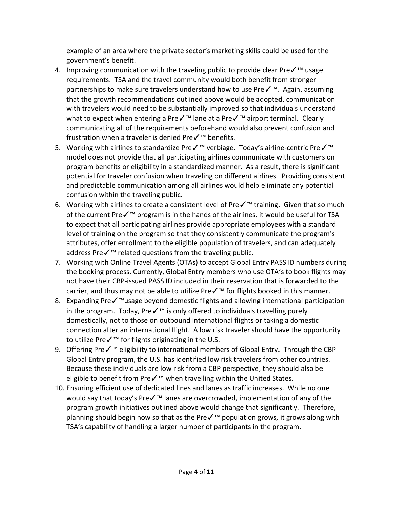example of an area where the private sector's marketing skills could be used for the government's benefit.

- 4. Improving communication with the traveling public to provide clear Preê usage requirements. TSA and the travel community would both benefit from stronger partnerships to make sure travelers understand how to use Pre✓™. Again, assuming that the growth recommendations outlined above would be adopted, communication with travelers would need to be substantially improved so that individuals understand what to expect when entering a Preê lane at a Pre√™ airport terminal. Clearly communicating all of the requirements beforehand would also prevent confusion and frustration when a traveler is denied Pre✓™ benefits.
- 5. Working with airlines to standardize Pre✓™ verbiage. Today's airline-centric Pre✓™ model does not provide that all participating airlines communicate with customers on program benefits or eligibility in a standardized manner. As a result, there is significant potential for traveler confusion when traveling on different airlines. Providing consistent and predictable communication among all airlines would help eliminate any potential confusion within the traveling public.
- 6. Working with airlines to create a consistent level of Preê training. Given that so much of the current Pre√<sup>™</sup> program is in the hands of the airlines, it would be useful for TSA to expect that all participating airlines provide appropriate employees with a standard level of training on the program so that they consistently communicate the program's attributes, offer enrollment to the eligible population of travelers, and can adequately address Pre√<sup>™</sup> related questions from the traveling public.
- 7. Working with Online Travel Agents (OTAs) to accept Global Entry PASS ID numbers during the booking process. Currently, Global Entry members who use OTA's to book flights may not have their CBP-issued PASS ID included in their reservation that is forwarded to the carrier, and thus may not be able to utilize Pre✓™ for flights booked in this manner.
- 8. Expanding Preêusage beyond domestic flights and allowing international participation in the program. Today, Pre✓™ is only offered to individuals travelling purely domestically, not to those on outbound international flights or taking a domestic connection after an international flight. A low risk traveler should have the opportunity to utilize Pre✓™ for flights originating in the U.S.
- 9. Offering Preê eligibility to international members of Global Entry. Through the CBP Global Entry program, the U.S. has identified low risk travelers from other countries. Because these individuals are low risk from a CBP perspective, they should also be eligible to benefit from Preê when travelling within the United States.
- 10. Ensuring efficient use of dedicated lines and lanes as traffic increases. While no one would say that today's Preê lanes are overcrowded, implementation of any of the program growth initiatives outlined above would change that significantly. Therefore, planning should begin now so that as the Preê population grows, it grows along with TSA's capability of handling a larger number of participants in the program.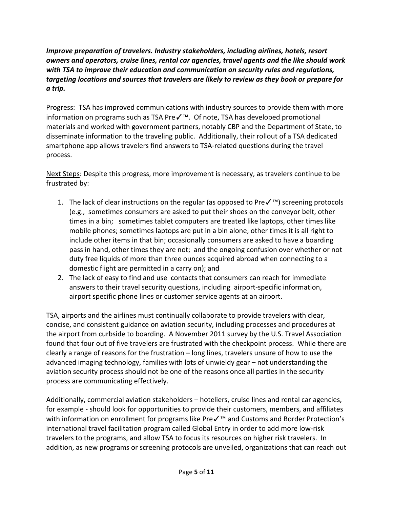*Improve preparation of travelers. Industry stakeholders, including airlines, hotels, resort owners and operators, cruise lines, rental car agencies, travel agents and the like should work with TSA to improve their education and communication on security rules and regulations, targeting locations and sources that travelers are likely to review as they book or prepare for a trip.*

Progress: TSA has improved communications with industry sources to provide them with more information on programs such as TSA Pre✓™. Of note, TSA has developed promotional materials and worked with government partners, notably CBP and the Department of State, to disseminate information to the traveling public. Additionally, their rollout of a TSA dedicated smartphone app allows travelers find answers to TSA-related questions during the travel process.

Next Steps: Despite this progress, more improvement is necessary, as travelers continue to be frustrated by:

- 1. The lack of clear instructions on the regular (as opposed to Pre✓™) screening protocols (e.g., sometimes consumers are asked to put their shoes on the conveyor belt, other times in a bin; sometimes tablet computers are treated like laptops, other times like mobile phones; sometimes laptops are put in a bin alone, other times it is all right to include other items in that bin; occasionally consumers are asked to have a boarding pass in hand, other times they are not; and the ongoing confusion over whether or not duty free liquids of more than three ounces acquired abroad when connecting to a domestic flight are permitted in a carry on); and
- 2. The lack of easy to find and use contacts that consumers can reach for immediate answers to their travel security questions, including airport-specific information, airport specific phone lines or customer service agents at an airport.

TSA, airports and the airlines must continually collaborate to provide travelers with clear, concise, and consistent guidance on aviation security, including processes and procedures at the airport from curbside to boarding. A November 2011 survey by the U.S. Travel Association found that four out of five travelers are frustrated with the checkpoint process. While there are clearly a range of reasons for the frustration – long lines, travelers unsure of how to use the advanced imaging technology, families with lots of unwieldy gear – not understanding the aviation security process should not be one of the reasons once all parties in the security process are communicating effectively.

Additionally, commercial aviation stakeholders – hoteliers, cruise lines and rental car agencies, for example - should look for opportunities to provide their customers, members, and affiliates with information on enrollment for programs like Preê and Customs and Border Protection's international travel facilitation program called Global Entry in order to add more low-risk travelers to the programs, and allow TSA to focus its resources on higher risk travelers. In addition, as new programs or screening protocols are unveiled, organizations that can reach out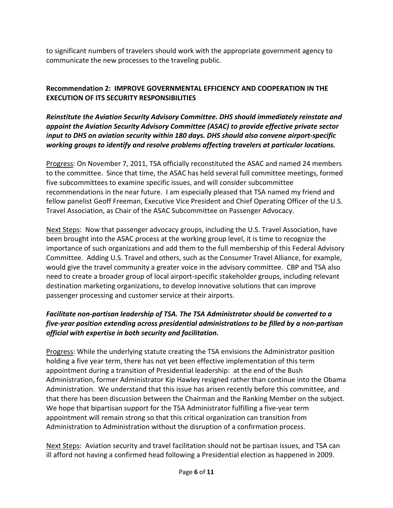to significant numbers of travelers should work with the appropriate government agency to communicate the new processes to the traveling public.

# **Recommendation 2: IMPROVE GOVERNMENTAL EFFICIENCY AND COOPERATION IN THE EXECUTION OF ITS SECURITY RESPONSIBILITIES**

*Reinstitute the Aviation Security Advisory Committee. DHS should immediately reinstate and appoint the Aviation Security Advisory Committee (ASAC) to provide effective private sector input to DHS on aviation security within 180 days. DHS should also convene airport-specific working groups to identify and resolve problems affecting travelers at particular locations.*

Progress: On November 7, 2011, TSA officially reconstituted the ASAC and named 24 members to the committee. Since that time, the ASAC has held several full committee meetings, formed five subcommittees to examine specific issues, and will consider subcommittee recommendations in the near future. I am especially pleased that TSA named my friend and fellow panelist Geoff Freeman, Executive Vice President and Chief Operating Officer of the U.S. Travel Association, as Chair of the ASAC Subcommittee on Passenger Advocacy.

Next Steps: Now that passenger advocacy groups, including the U.S. Travel Association, have been brought into the ASAC process at the working group level, it is time to recognize the importance of such organizations and add them to the full membership of this Federal Advisory Committee. Adding U.S. Travel and others, such as the Consumer Travel Alliance, for example, would give the travel community a greater voice in the advisory committee. CBP and TSA also need to create a broader group of local airport-specific stakeholder groups, including relevant destination marketing organizations, to develop innovative solutions that can improve passenger processing and customer service at their airports.

## *Facilitate non-partisan leadership of TSA. The TSA Administrator should be converted to a five-year position extending across presidential administrations to be filled by a non-partisan official with expertise in both security and facilitation.*

Progress: While the underlying statute creating the TSA envisions the Administrator position holding a five year term, there has not yet been effective implementation of this term appointment during a transition of Presidential leadership: at the end of the Bush Administration, former Administrator Kip Hawley resigned rather than continue into the Obama Administration. We understand that this issue has arisen recently before this committee, and that there has been discussion between the Chairman and the Ranking Member on the subject. We hope that bipartisan support for the TSA Administrator fulfilling a five-year term appointment will remain strong so that this critical organization can transition from Administration to Administration without the disruption of a confirmation process.

Next Steps: Aviation security and travel facilitation should not be partisan issues, and TSA can ill afford not having a confirmed head following a Presidential election as happened in 2009.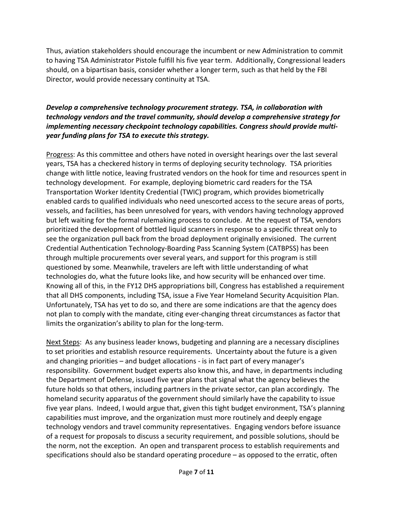Thus, aviation stakeholders should encourage the incumbent or new Administration to commit to having TSA Administrator Pistole fulfill his five year term. Additionally, Congressional leaders should, on a bipartisan basis, consider whether a longer term, such as that held by the FBI Director, would provide necessary continuity at TSA.

### *Develop a comprehensive technology procurement strategy. TSA, in collaboration with technology vendors and the travel community, should develop a comprehensive strategy for implementing necessary checkpoint technology capabilities. Congress should provide multiyear funding plans for TSA to execute this strategy.*

Progress: As this committee and others have noted in oversight hearings over the last several years, TSA has a checkered history in terms of deploying security technology. TSA priorities change with little notice, leaving frustrated vendors on the hook for time and resources spent in technology development. For example, deploying biometric card readers for the TSA Transportation Worker Identity Credential (TWIC) program, which provides biometrically enabled cards to qualified individuals who need unescorted access to the secure areas of ports, vessels, and facilities, has been unresolved for years, with vendors having technology approved but left waiting for the formal rulemaking process to conclude. At the request of TSA, vendors prioritized the development of bottled liquid scanners in response to a specific threat only to see the organization pull back from the broad deployment originally envisioned. The current Credential Authentication Technology-Boarding Pass Scanning System (CATBPSS) has been through multiple procurements over several years, and support for this program is still questioned by some. Meanwhile, travelers are left with little understanding of what technologies do, what the future looks like, and how security will be enhanced over time. Knowing all of this, in the FY12 DHS appropriations bill, Congress has established a requirement that all DHS components, including TSA, issue a Five Year Homeland Security Acquisition Plan. Unfortunately, TSA has yet to do so, and there are some indications are that the agency does not plan to comply with the mandate, citing ever-changing threat circumstances as factor that limits the organization's ability to plan for the long-term.

Next Steps: As any business leader knows, budgeting and planning are a necessary disciplines to set priorities and establish resource requirements. Uncertainty about the future is a given and changing priorities – and budget allocations - is in fact part of every manager's responsibility. Government budget experts also know this, and have, in departments including the Department of Defense, issued five year plans that signal what the agency believes the future holds so that others, including partners in the private sector, can plan accordingly. The homeland security apparatus of the government should similarly have the capability to issue five year plans. Indeed, I would argue that, given this tight budget environment, TSA's planning capabilities must improve, and the organization must more routinely and deeply engage technology vendors and travel community representatives. Engaging vendors before issuance of a request for proposals to discuss a security requirement, and possible solutions, should be the norm, not the exception. An open and transparent process to establish requirements and specifications should also be standard operating procedure – as opposed to the erratic, often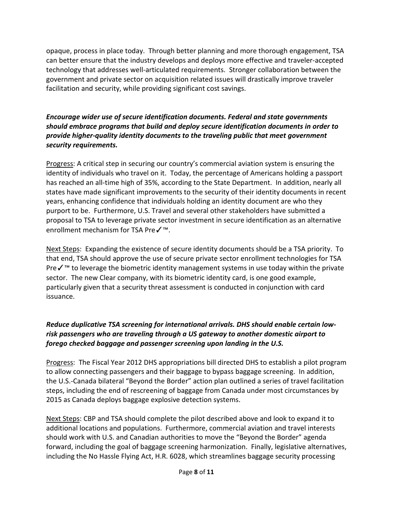opaque, process in place today. Through better planning and more thorough engagement, TSA can better ensure that the industry develops and deploys more effective and traveler-accepted technology that addresses well-articulated requirements. Stronger collaboration between the government and private sector on acquisition related issues will drastically improve traveler facilitation and security, while providing significant cost savings.

### *Encourage wider use of secure identification documents. Federal and state governments should embrace programs that build and deploy secure identification documents in order to provide higher-quality identity documents to the traveling public that meet government security requirements.*

Progress: A critical step in securing our country's commercial aviation system is ensuring the identity of individuals who travel on it. Today, the percentage of Americans holding a passport has reached an all-time high of 35%, according to the State Department. In addition, nearly all states have made significant improvements to the security of their identity documents in recent years, enhancing confidence that individuals holding an identity document are who they purport to be. Furthermore, U.S. Travel and several other stakeholders have submitted a proposal to TSA to leverage private sector investment in secure identification as an alternative enrollment mechanism for TSA Pre√<sup>™</sup>.

Next Steps: Expanding the existence of secure identity documents should be a TSA priority. To that end, TSA should approve the use of secure private sector enrollment technologies for TSA Preê to leverage the biometric identity management systems in use today within the private sector. The new Clear company, with its biometric identity card, is one good example, particularly given that a security threat assessment is conducted in conjunction with card issuance.

### *Reduce duplicative TSA screening for international arrivals. DHS should enable certain lowrisk passengers who are traveling through a US gateway to another domestic airport to forego checked baggage and passenger screening upon landing in the U.S.*

Progress: The Fiscal Year 2012 DHS appropriations bill directed DHS to establish a pilot program to allow connecting passengers and their baggage to bypass baggage screening. In addition, the U.S.-Canada bilateral "Beyond the Border" action plan outlined a series of travel facilitation steps, including the end of rescreening of baggage from Canada under most circumstances by 2015 as Canada deploys baggage explosive detection systems.

Next Steps: CBP and TSA should complete the pilot described above and look to expand it to additional locations and populations. Furthermore, commercial aviation and travel interests should work with U.S. and Canadian authorities to move the "Beyond the Border" agenda forward, including the goal of baggage screening harmonization. Finally, legislative alternatives, including the No Hassle Flying Act, H.R. 6028, which streamlines baggage security processing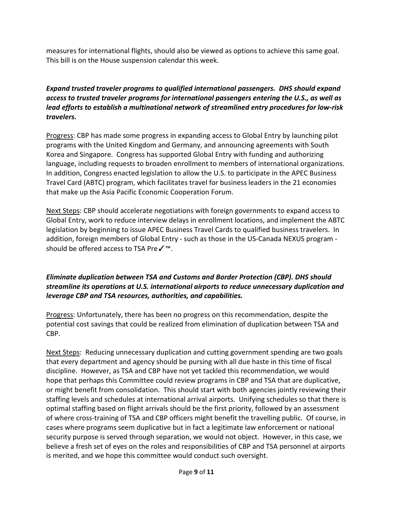measures for international flights, should also be viewed as options to achieve this same goal. This bill is on the House suspension calendar this week.

### *Expand trusted traveler programs to qualified international passengers. DHS should expand access to trusted traveler programs for international passengers entering the U.S., as well as lead efforts to establish a multinational network of streamlined entry procedures for low-risk travelers.*

Progress: CBP has made some progress in expanding access to Global Entry by launching pilot programs with the United Kingdom and Germany, and announcing agreements with South Korea and Singapore. Congress has supported Global Entry with funding and authorizing language, including requests to broaden enrollment to members of international organizations. In addition, Congress enacted legislation to allow the U.S. to participate in the APEC Business Travel Card (ABTC) program, which facilitates travel for business leaders in the 21 economies that make up the Asia Pacific Economic Cooperation Forum.

Next Steps: CBP should accelerate negotiations with foreign governments to expand access to Global Entry, work to reduce interview delays in enrollment locations, and implement the ABTC legislation by beginning to issue APEC Business Travel Cards to qualified business travelers. In addition, foreign members of Global Entry - such as those in the US-Canada NEXUS program should be offered access to TSA Preê.

### *Eliminate duplication between TSA and Customs and Border Protection (CBP). DHS should streamline its operations at U.S. international airports to reduce unnecessary duplication and leverage CBP and TSA resources, authorities, and capabilities.*

Progress: Unfortunately, there has been no progress on this recommendation, despite the potential cost savings that could be realized from elimination of duplication between TSA and CBP.

Next Steps: Reducing unnecessary duplication and cutting government spending are two goals that every department and agency should be pursing with all due haste in this time of fiscal discipline. However, as TSA and CBP have not yet tackled this recommendation, we would hope that perhaps this Committee could review programs in CBP and TSA that are duplicative, or might benefit from consolidation. This should start with both agencies jointly reviewing their staffing levels and schedules at international arrival airports. Unifying schedules so that there is optimal staffing based on flight arrivals should be the first priority, followed by an assessment of where cross-training of TSA and CBP officers might benefit the travelling public. Of course, in cases where programs seem duplicative but in fact a legitimate law enforcement or national security purpose is served through separation, we would not object. However, in this case, we believe a fresh set of eyes on the roles and responsibilities of CBP and TSA personnel at airports is merited, and we hope this committee would conduct such oversight.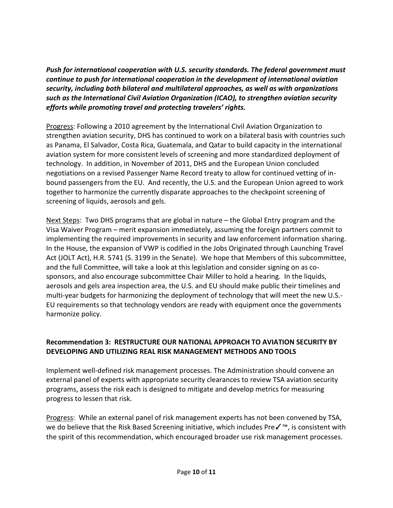*Push for international cooperation with U.S. security standards. The federal government must continue to push for international cooperation in the development of international aviation security, including both bilateral and multilateral approaches, as well as with organizations such as the International Civil Aviation Organization (ICAO), to strengthen aviation security efforts while promoting travel and protecting travelers' rights.*

Progress: Following a 2010 agreement by the International Civil Aviation Organization to strengthen aviation security, DHS has continued to work on a bilateral basis with countries such as Panama, El Salvador, Costa Rica, Guatemala, and Qatar to build capacity in the international aviation system for more consistent levels of screening and more standardized deployment of technology. In addition, in November of 2011, DHS and the European Union concluded negotiations on a revised Passenger Name Record treaty to allow for continued vetting of inbound passengers from the EU. And recently, the U.S. and the European Union agreed to work together to harmonize the currently disparate approaches to the checkpoint screening of screening of liquids, aerosols and gels.

Next Steps: Two DHS programs that are global in nature – the Global Entry program and the Visa Waiver Program – merit expansion immediately, assuming the foreign partners commit to implementing the required improvements in security and law enforcement information sharing. In the House, the expansion of VWP is codified in the Jobs Originated through Launching Travel Act (JOLT Act), H.R. 5741 (S. 3199 in the Senate). We hope that Members of this subcommittee, and the full Committee, will take a look at this legislation and consider signing on as cosponsors, and also encourage subcommittee Chair Miller to hold a hearing. In the liquids, aerosols and gels area inspection area, the U.S. and EU should make public their timelines and multi-year budgets for harmonizing the deployment of technology that will meet the new U.S.- EU requirements so that technology vendors are ready with equipment once the governments harmonize policy.

### **Recommendation 3: RESTRUCTURE OUR NATIONAL APPROACH TO AVIATION SECURITY BY DEVELOPING AND UTILIZING REAL RISK MANAGEMENT METHODS AND TOOLS**

Implement well-defined risk management processes. The Administration should convene an external panel of experts with appropriate security clearances to review TSA aviation security programs, assess the risk each is designed to mitigate and develop metrics for measuring progress to lessen that risk.

Progress: While an external panel of risk management experts has not been convened by TSA, we do believe that the Risk Based Screening initiative, which includes Preê, is consistent with the spirit of this recommendation, which encouraged broader use risk management processes.